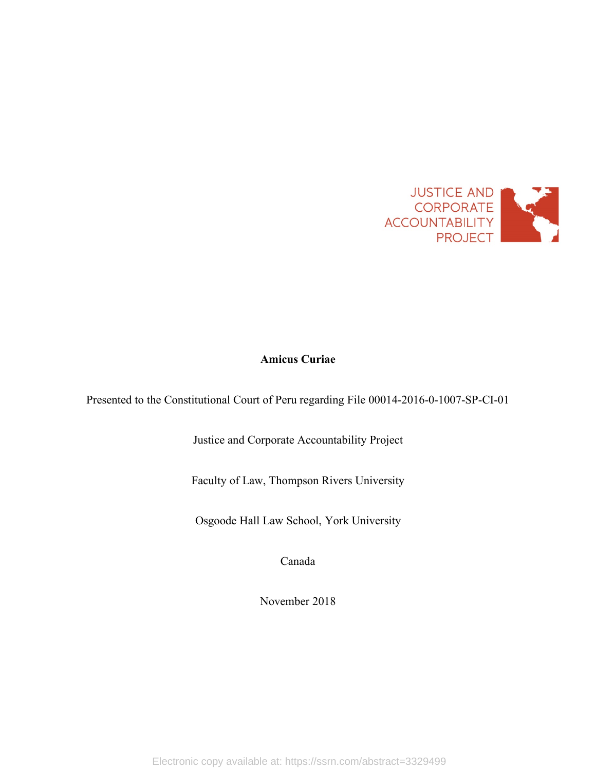

# **Amicus Curiae**

Presented to the Constitutional Court of Peru regarding File 00014-2016-0-1007-SP-CI-01

Justice and Corporate Accountability Project

Faculty of Law, Thompson Rivers University

Osgoode Hall Law School, York University

Canada

November 2018

Electronic copy available at: https://ssrn.com/abstract=3329499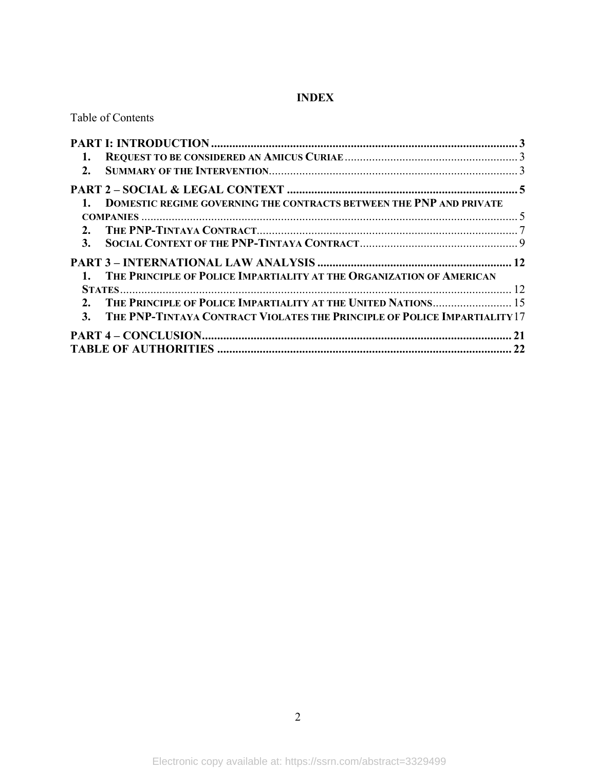# **INDEX**

Table of Contents

| 1. DOMESTIC REGIME GOVERNING THE CONTRACTS BETWEEN THE PNP AND PRIVATE       |  |
|------------------------------------------------------------------------------|--|
| COMPANIES $\ldots$ 5                                                         |  |
|                                                                              |  |
|                                                                              |  |
|                                                                              |  |
| 1. THE PRINCIPLE OF POLICE IMPARTIALITY AT THE ORGANIZATION OF AMERICAN      |  |
|                                                                              |  |
| 2. THE PRINCIPLE OF POLICE IMPARTIALITY AT THE UNITED NATIONS 15             |  |
| 3. THE PNP-TINTAYA CONTRACT VIOLATES THE PRINCIPLE OF POLICE IMPARTIALITY 17 |  |
|                                                                              |  |
|                                                                              |  |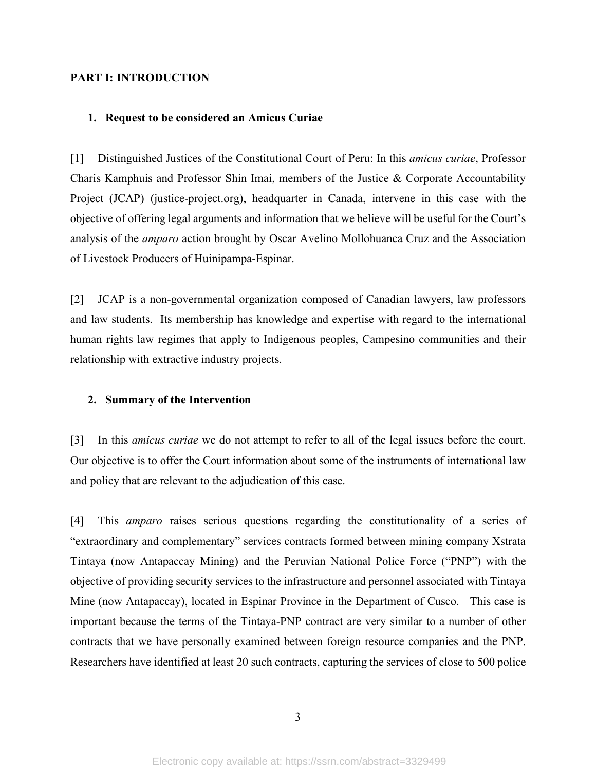### **PART I: INTRODUCTION**

#### **1. Request to be considered an Amicus Curiae**

[1] Distinguished Justices of the Constitutional Court of Peru: In this *amicus curiae*, Professor Charis Kamphuis and Professor Shin Imai, members of the Justice & Corporate Accountability Project (JCAP) (justice-project.org), headquarter in Canada, intervene in this case with the objective of offering legal arguments and information that we believe will be useful for the Court's analysis of the *amparo* action brought by Oscar Avelino Mollohuanca Cruz and the Association of Livestock Producers of Huinipampa-Espinar.

[2] JCAP is a non-governmental organization composed of Canadian lawyers, law professors and law students. Its membership has knowledge and expertise with regard to the international human rights law regimes that apply to Indigenous peoples, Campesino communities and their relationship with extractive industry projects.

#### **2. Summary of the Intervention**

[3] In this *amicus curiae* we do not attempt to refer to all of the legal issues before the court. Our objective is to offer the Court information about some of the instruments of international law and policy that are relevant to the adjudication of this case.

[4] This *amparo* raises serious questions regarding the constitutionality of a series of "extraordinary and complementary" services contracts formed between mining company Xstrata Tintaya (now Antapaccay Mining) and the Peruvian National Police Force ("PNP") with the objective of providing security services to the infrastructure and personnel associated with Tintaya Mine (now Antapaccay), located in Espinar Province in the Department of Cusco. This case is important because the terms of the Tintaya-PNP contract are very similar to a number of other contracts that we have personally examined between foreign resource companies and the PNP. Researchers have identified at least 20 such contracts, capturing the services of close to 500 police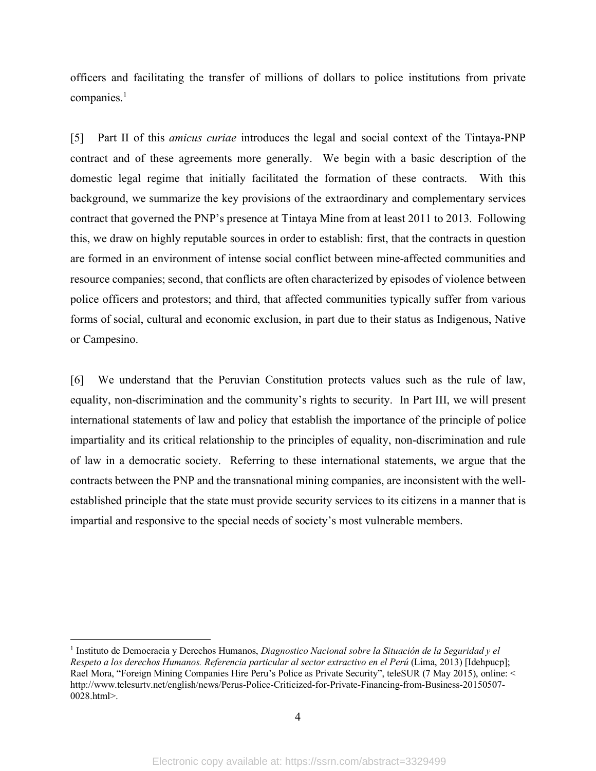officers and facilitating the transfer of millions of dollars to police institutions from private companies.<sup>1</sup>

[5] Part II of this *amicus curiae* introduces the legal and social context of the Tintaya-PNP contract and of these agreements more generally. We begin with a basic description of the domestic legal regime that initially facilitated the formation of these contracts. With this background, we summarize the key provisions of the extraordinary and complementary services contract that governed the PNP's presence at Tintaya Mine from at least 2011 to 2013. Following this, we draw on highly reputable sources in order to establish: first, that the contracts in question are formed in an environment of intense social conflict between mine-affected communities and resource companies; second, that conflicts are often characterized by episodes of violence between police officers and protestors; and third, that affected communities typically suffer from various forms of social, cultural and economic exclusion, in part due to their status as Indigenous, Native or Campesino.

[6] We understand that the Peruvian Constitution protects values such as the rule of law, equality, non-discrimination and the community's rights to security. In Part III, we will present international statements of law and policy that establish the importance of the principle of police impartiality and its critical relationship to the principles of equality, non-discrimination and rule of law in a democratic society. Referring to these international statements, we argue that the contracts between the PNP and the transnational mining companies, are inconsistent with the wellestablished principle that the state must provide security services to its citizens in a manner that is impartial and responsive to the special needs of society's most vulnerable members.

 <sup>1</sup> Instituto de Democracia y Derechos Humanos, *Diagnostico Nacional sobre la Situación de la Seguridad y el Respeto a los derechos Humanos. Referencia particular al sector extractivo en el Perú* (Lima, 2013) [Idehpucp]; Rael Mora, "Foreign Mining Companies Hire Peru's Police as Private Security", teleSUR (7 May 2015), online: < http://www.telesurtv.net/english/news/Perus-Police-Criticized-for-Private-Financing-from-Business-20150507- 0028.html>.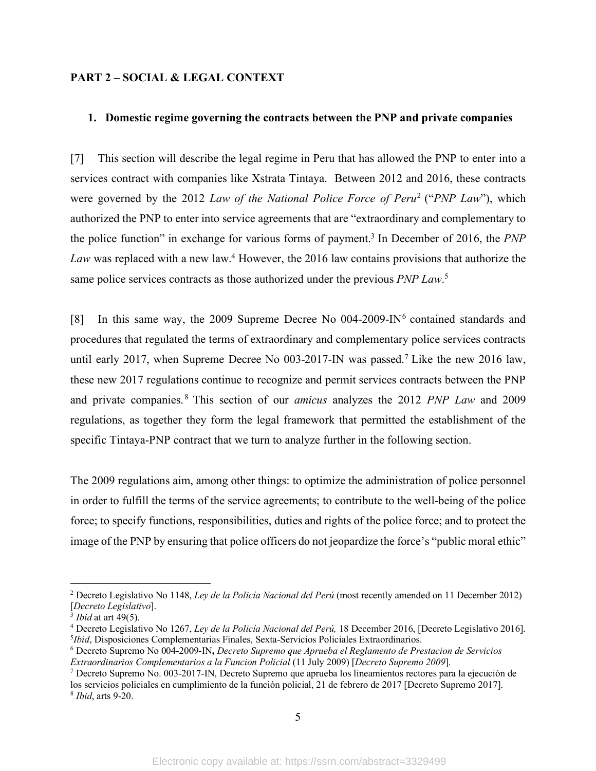### **PART 2 – SOCIAL & LEGAL CONTEXT**

### **1. Domestic regime governing the contracts between the PNP and private companies**

[7] This section will describe the legal regime in Peru that has allowed the PNP to enter into a services contract with companies like Xstrata Tintaya. Between 2012 and 2016, these contracts were governed by the 2012 *Law of the National Police Force of Peru*<sup>2</sup> ("*PNP Law*"), which authorized the PNP to enter into service agreements that are "extraordinary and complementary to the police function" in exchange for various forms of payment.3 In December of 2016, the *PNP*  Law was replaced with a new law.<sup>4</sup> However, the 2016 law contains provisions that authorize the same police services contracts as those authorized under the previous *PNP Law*. 5

[8] In this same way, the 2009 Supreme Decree No 004-2009-IN<sup>6</sup> contained standards and procedures that regulated the terms of extraordinary and complementary police services contracts until early 2017, when Supreme Decree No 003-2017-IN was passed.<sup>7</sup> Like the new 2016 law, these new 2017 regulations continue to recognize and permit services contracts between the PNP and private companies. <sup>8</sup> This section of our *amicus* analyzes the 2012 *PNP Law* and 2009 regulations, as together they form the legal framework that permitted the establishment of the specific Tintaya-PNP contract that we turn to analyze further in the following section.

The 2009 regulations aim, among other things: to optimize the administration of police personnel in order to fulfill the terms of the service agreements; to contribute to the well-being of the police force; to specify functions, responsibilities, duties and rights of the police force; and to protect the image of the PNP by ensuring that police officers do not jeopardize the force's "public moral ethic"

 <sup>2</sup> Decreto Legislativo No 1148, *Ley de la Policía Nacional del Perú* (most recently amended on 11 December 2012) [*Decreto Legislativo*].

 $\frac{3}{3}$  *Ibid* at art 49(5).

<sup>4</sup> Decreto Legislativo No 1267, *Ley de la Policía Nacional del Perú,* 18 December 2016, [Decreto Legislativo 2016]. 5 *Ibid*, Disposiciones Complementarias Finales, Sexta-Servicios Policiales Extraordinarios.

<sup>6</sup> Decreto Supremo No 004-2009-IN**,** *Decreto Supremo que Aprueba el Reglamento de Prestacion de Servicios Extraordinarios Complementarios a la Funcion Policial* (11 July 2009) [*Decreto Supremo 2009*].

<sup>7</sup> Decreto Supremo No. 003-2017-IN, Decreto Supremo que aprueba los lineamientos rectores para la ejecución de los servicios policiales en cumplimiento de la función policial, 21 de febrero de 2017 [Decreto Supremo 2017].

<sup>8</sup> *Ibid*, arts 9-20.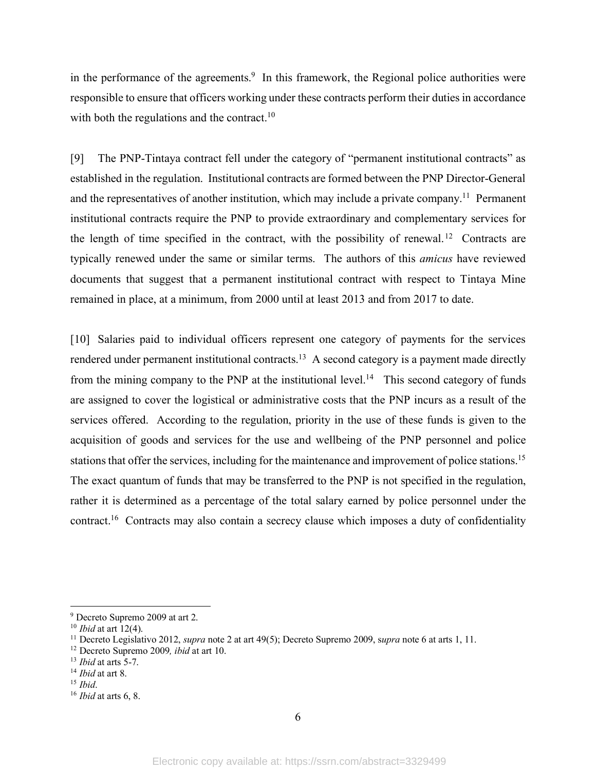in the performance of the agreements.<sup>9</sup> In this framework, the Regional police authorities were responsible to ensure that officers working under these contracts perform their duties in accordance with both the regulations and the contract.<sup>10</sup>

[9] The PNP-Tintaya contract fell under the category of "permanent institutional contracts" as established in the regulation. Institutional contracts are formed between the PNP Director-General and the representatives of another institution, which may include a private company.<sup>11</sup> Permanent institutional contracts require the PNP to provide extraordinary and complementary services for the length of time specified in the contract, with the possibility of renewal. <sup>12</sup> Contracts are typically renewed under the same or similar terms. The authors of this *amicus* have reviewed documents that suggest that a permanent institutional contract with respect to Tintaya Mine remained in place, at a minimum, from 2000 until at least 2013 and from 2017 to date.

[10] Salaries paid to individual officers represent one category of payments for the services rendered under permanent institutional contracts.<sup>13</sup> A second category is a payment made directly from the mining company to the PNP at the institutional level.<sup>14</sup> This second category of funds are assigned to cover the logistical or administrative costs that the PNP incurs as a result of the services offered. According to the regulation, priority in the use of these funds is given to the acquisition of goods and services for the use and wellbeing of the PNP personnel and police stations that offer the services, including for the maintenance and improvement of police stations.15 The exact quantum of funds that may be transferred to the PNP is not specified in the regulation, rather it is determined as a percentage of the total salary earned by police personnel under the contract.<sup>16</sup> Contracts may also contain a secrecy clause which imposes a duty of confidentiality

 <sup>9</sup> Decreto Supremo 2009 at art 2.

<sup>10</sup> *Ibid* at art 12(4).

<sup>11</sup> Decreto Legislativo 2012, *supra* note 2 at art 49(5); Decreto Supremo 2009, s*upra* note 6 at arts 1, 11.

<sup>12</sup> Decreto Supremo 2009*, ibid* at art 10.

<sup>13</sup> *Ibid* at arts 5-7.

<sup>14</sup> *Ibid* at art 8.

<sup>15</sup> *Ibid*. 16 *Ibid* at arts 6, 8.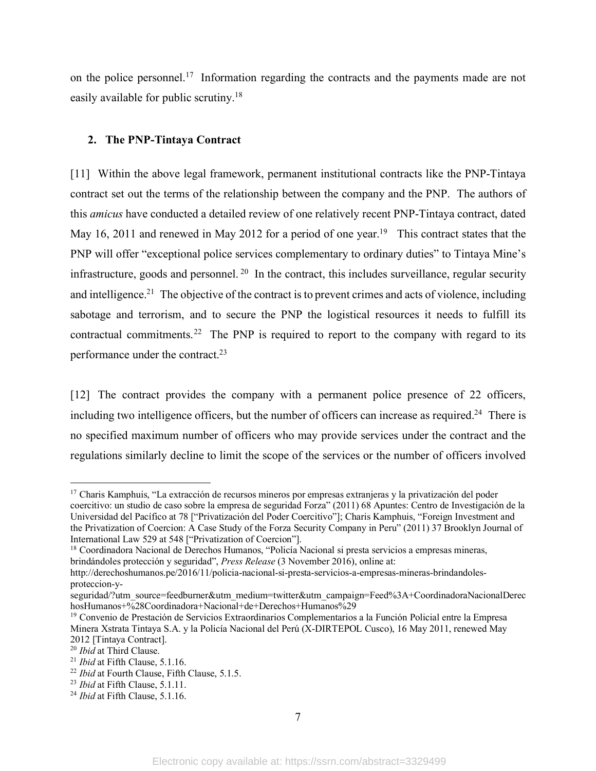on the police personnel.<sup>17</sup> Information regarding the contracts and the payments made are not easily available for public scrutiny.18

### **2. The PNP-Tintaya Contract**

[11] Within the above legal framework, permanent institutional contracts like the PNP-Tintaya contract set out the terms of the relationship between the company and the PNP. The authors of this *amicus* have conducted a detailed review of one relatively recent PNP-Tintaya contract, dated May 16, 2011 and renewed in May 2012 for a period of one year.<sup>19</sup> This contract states that the PNP will offer "exceptional police services complementary to ordinary duties" to Tintaya Mine's infrastructure, goods and personnel. 20 In the contract, this includes surveillance, regular security and intelligence.<sup>21</sup> The objective of the contract is to prevent crimes and acts of violence, including sabotage and terrorism, and to secure the PNP the logistical resources it needs to fulfill its contractual commitments.22 The PNP is required to report to the company with regard to its performance under the contract.23

[12] The contract provides the company with a permanent police presence of 22 officers, including two intelligence officers, but the number of officers can increase as required.<sup>24</sup> There is no specified maximum number of officers who may provide services under the contract and the regulations similarly decline to limit the scope of the services or the number of officers involved

 <sup>17</sup> Charis Kamphuis, "La extracción de recursos mineros por empresas extranjeras y la privatización del poder coercitivo: un studio de caso sobre la empresa de seguridad Forza" (2011) 68 Apuntes: Centro de Investigación de la Universidad del Pacífico at 78 ["Privatización del Poder Coercitivo"]; Charis Kamphuis, "Foreign Investment and the Privatization of Coercion: A Case Study of the Forza Security Company in Peru" (2011) 37 Brooklyn Journal of International Law 529 at 548 ["Privatization of Coercion"].

<sup>18</sup> Coordinadora Nacional de Derechos Humanos, "Policía Nacional si presta servicios a empresas mineras, brindándoles protección y seguridad", *Press Release* (3 November 2016), online at:

http://derechoshumanos.pe/2016/11/policia-nacional-si-presta-servicios-a-empresas-mineras-brindandolesproteccion-y-

seguridad/?utm\_source=feedburner&utm\_medium=twitter&utm\_campaign=Feed%3A+CoordinadoraNacionalDerec hosHumanos+%28Coordinadora+Nacional+de+Derechos+Humanos%29

<sup>19</sup> Convenio de Prestación de Servicios Extraordinarios Complementarios a la Función Policial entre la Empresa Minera Xstrata Tintaya S.A. y la Policía Nacional del Perú (X-DIRTEPOL Cusco), 16 May 2011, renewed May 2012 [Tintaya Contract].<br><sup>20</sup> *Ibid* at Third Clause.

<sup>&</sup>lt;sup>21</sup> *Ibid* at Fifth Clause, 5.1.16.<br><sup>22</sup> *Ibid* at Fourth Clause, Fifth Clause, 5.1.5.

<sup>23</sup> *Ibid* at Fifth Clause, 5.1.11.

<sup>24</sup> *Ibid* at Fifth Clause, 5.1.16.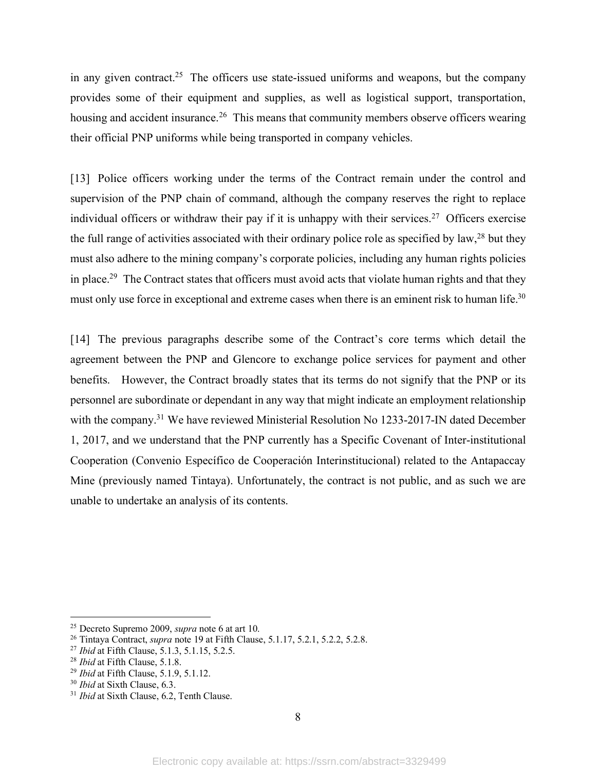in any given contract.<sup>25</sup> The officers use state-issued uniforms and weapons, but the company provides some of their equipment and supplies, as well as logistical support, transportation, housing and accident insurance.<sup>26</sup> This means that community members observe officers wearing their official PNP uniforms while being transported in company vehicles.

[13] Police officers working under the terms of the Contract remain under the control and supervision of the PNP chain of command, although the company reserves the right to replace individual officers or withdraw their pay if it is unhappy with their services. <sup>27</sup> Officers exercise the full range of activities associated with their ordinary police role as specified by law,  $^{28}$  but they must also adhere to the mining company's corporate policies, including any human rights policies in place.<sup>29</sup> The Contract states that officers must avoid acts that violate human rights and that they must only use force in exceptional and extreme cases when there is an eminent risk to human life.<sup>30</sup>

[14] The previous paragraphs describe some of the Contract's core terms which detail the agreement between the PNP and Glencore to exchange police services for payment and other benefits. However, the Contract broadly states that its terms do not signify that the PNP or its personnel are subordinate or dependant in any way that might indicate an employment relationship with the company.<sup>31</sup> We have reviewed Ministerial Resolution No 1233-2017-IN dated December 1, 2017, and we understand that the PNP currently has a Specific Covenant of Inter-institutional Cooperation (Convenio Específico de Cooperación Interinstitucional) related to the Antapaccay Mine (previously named Tintaya). Unfortunately, the contract is not public, and as such we are unable to undertake an analysis of its contents.

 <sup>25</sup> Decreto Supremo 2009, *supra* note 6 at art 10.

<sup>26</sup> Tintaya Contract, *supra* note 19 at Fifth Clause, 5.1.17, 5.2.1, 5.2.2, 5.2.8.

<sup>27</sup> *Ibid* at Fifth Clause, 5.1.3, 5.1.15, 5.2.5.

<sup>28</sup> *Ibid* at Fifth Clause, 5.1.8.

<sup>29</sup> *Ibid* at Fifth Clause, 5.1.9, 5.1.12.

<sup>30</sup> *Ibid* at Sixth Clause, 6.3.

<sup>&</sup>lt;sup>31</sup> *Ibid* at Sixth Clause, 6.2, Tenth Clause.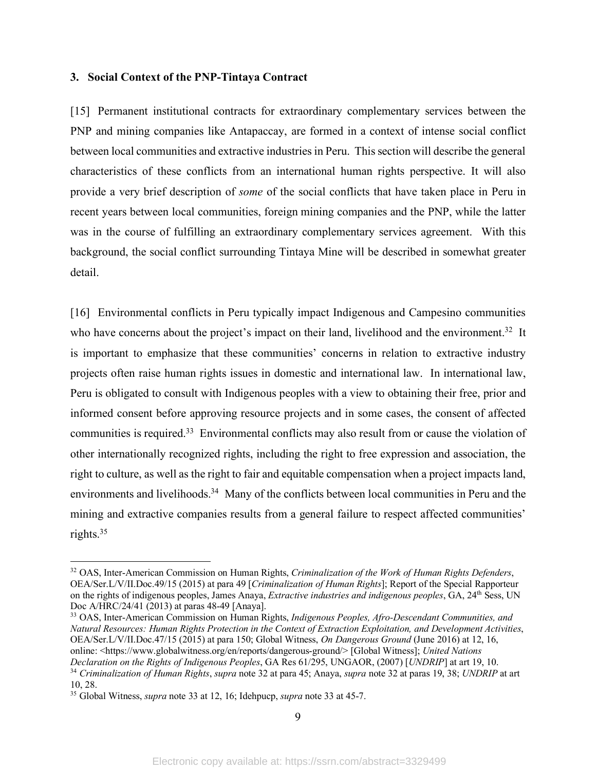### **3. Social Context of the PNP-Tintaya Contract**

[15] Permanent institutional contracts for extraordinary complementary services between the PNP and mining companies like Antapaccay, are formed in a context of intense social conflict between local communities and extractive industriesin Peru. This section will describe the general characteristics of these conflicts from an international human rights perspective. It will also provide a very brief description of *some* of the social conflicts that have taken place in Peru in recent years between local communities, foreign mining companies and the PNP, while the latter was in the course of fulfilling an extraordinary complementary services agreement. With this background, the social conflict surrounding Tintaya Mine will be described in somewhat greater detail.

[16] Environmental conflicts in Peru typically impact Indigenous and Campesino communities who have concerns about the project's impact on their land, livelihood and the environment.<sup>32</sup> It is important to emphasize that these communities' concerns in relation to extractive industry projects often raise human rights issues in domestic and international law. In international law, Peru is obligated to consult with Indigenous peoples with a view to obtaining their free, prior and informed consent before approving resource projects and in some cases, the consent of affected communities is required.33 Environmental conflicts may also result from or cause the violation of other internationally recognized rights, including the right to free expression and association, the right to culture, as well as the right to fair and equitable compensation when a project impacts land, environments and livelihoods.<sup>34</sup> Many of the conflicts between local communities in Peru and the mining and extractive companies results from a general failure to respect affected communities' rights. 35

 <sup>32</sup> OAS, Inter-American Commission on Human Rights, *Criminalization of the Work of Human Rights Defenders*, OEA/Ser.L/V/II.Doc.49/15 (2015) at para 49 [*Criminalization of Human Rights*]; Report of the Special Rapporteur on the rights of indigenous peoples, James Anaya, *Extractive industries and indigenous peoples*, GA, 24th Sess, UN Doc A/HRC/24/41 (2013) at paras 48-49 [Anaya].

<sup>33</sup> OAS, Inter-American Commission on Human Rights, *Indigenous Peoples, Afro-Descendant Communities, and Natural Resources: Human Rights Protection in the Context of Extraction Exploitation, and Development Activities*, OEA/Ser.L/V/II.Doc.47/15 (2015) at para 150; Global Witness, *On Dangerous Ground* (June 2016) at 12, 16, online: <https://www.globalwitness.org/en/reports/dangerous-ground/> [Global Witness]; *United Nations Declaration on the Rights of Indigenous Peoples*, GA Res 61/295, UNGAOR, (2007) [*UNDRIP*] at art 19, 10. <sup>34</sup> *Criminalization of Human Rights*, *supra* note 32 at para 45; Anaya, *supra* note 32 at paras 19, 38; *UNDRIP* at art 10, 28.

<sup>35</sup> Global Witness, *supra* note 33 at 12, 16; Idehpucp, *supra* note 33 at 45-7.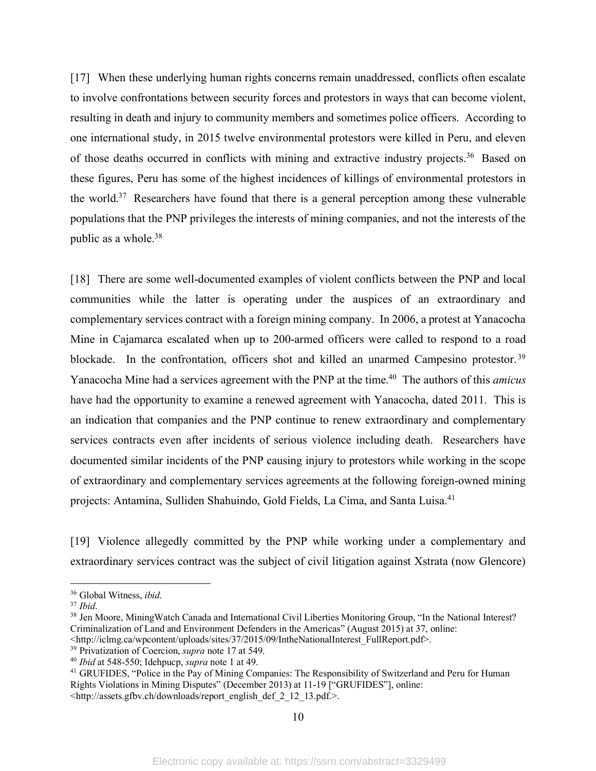[17] When these underlying human rights concerns remain unaddressed, conflicts often escalate to involve confrontations between security forces and protestors in ways that can become violent, resulting in death and injury to community members and sometimes police officers. According to one international study, in 2015 twelve environmental protestors were killed in Peru, and eleven of those deaths occurred in conflicts with mining and extractive industry projects.36 Based on these figures, Peru has some of the highest incidences of killings of environmental protestors in the world.<sup>37</sup> Researchers have found that there is a general perception among these vulnerable populations that the PNP privileges the interests of mining companies, and not the interests of the public as a whole.<sup>38</sup>

[18] There are some well-documented examples of violent conflicts between the PNP and local communities while the latter is operating under the auspices of an extraordinary and complementary services contract with a foreign mining company. In 2006, a protest at Yanacocha Mine in Cajamarca escalated when up to 200-armed officers were called to respond to a road blockade. In the confrontation, officers shot and killed an unarmed Campesino protestor.<sup>39</sup> Yanacocha Mine had a services agreement with the PNP at the time. 40 The authors of this *amicus* have had the opportunity to examine a renewed agreement with Yanacocha, dated 2011. This is an indication that companies and the PNP continue to renew extraordinary and complementary services contracts even after incidents of serious violence including death. Researchers have documented similar incidents of the PNP causing injury to protestors while working in the scope of extraordinary and complementary services agreements at the following foreign-owned mining projects: Antamina, Sulliden Shahuindo, Gold Fields, La Cima, and Santa Luisa.41

[19] Violence allegedly committed by the PNP while working under a complementary and extraordinary services contract was the subject of civil litigation against Xstrata (now Glencore)

 <sup>36</sup> Global Witness, *ibid*.

<sup>37</sup> *Ibid*.

<sup>&</sup>lt;sup>38</sup> Jen Moore, MiningWatch Canada and International Civil Liberties Monitoring Group, "In the National Interest? Criminalization of Land and Environment Defenders in the Americas" (August 2015) at 37, online:

<sup>&</sup>lt;http://iclmg.ca/wpcontent/uploads/sites/37/2015/09/IntheNationalInterest\_FullReport.pdf>. 39 Privatization of Coercion, *supra* note 17 at 549.

<sup>40</sup> *Ibid* at 548-550; Idehpucp, *supra* note 1 at 49.

<sup>&</sup>lt;sup>41</sup> GRUFIDES, "Police in the Pay of Mining Companies: The Responsibility of Switzerland and Peru for Human Rights Violations in Mining Disputes" (December 2013) at 11-19 ["GRUFIDES"], online: <http://assets.gfbv.ch/downloads/report\_english\_def\_2\_12\_13.pdf.>.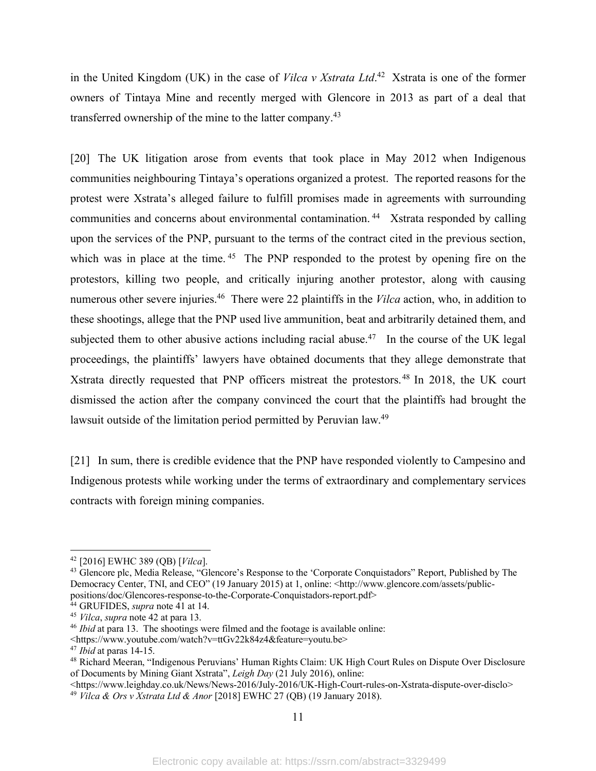in the United Kingdom (UK) in the case of *Vilca v Xstrata Ltd*. <sup>42</sup> Xstrata is one of the former owners of Tintaya Mine and recently merged with Glencore in 2013 as part of a deal that transferred ownership of the mine to the latter company. 43

[20] The UK litigation arose from events that took place in May 2012 when Indigenous communities neighbouring Tintaya's operations organized a protest. The reported reasons for the protest were Xstrata's alleged failure to fulfill promises made in agreements with surrounding communities and concerns about environmental contamination. 44 Xstrata responded by calling upon the services of the PNP, pursuant to the terms of the contract cited in the previous section, which was in place at the time. <sup>45</sup> The PNP responded to the protest by opening fire on the protestors, killing two people, and critically injuring another protestor, along with causing numerous other severe injuries. <sup>46</sup> There were 22 plaintiffs in the *Vilca* action, who, in addition to these shootings, allege that the PNP used live ammunition, beat and arbitrarily detained them, and subjected them to other abusive actions including racial abuse.<sup>47</sup> In the course of the UK legal proceedings, the plaintiffs' lawyers have obtained documents that they allege demonstrate that Xstrata directly requested that PNP officers mistreat the protestors.<sup>48</sup> In 2018, the UK court dismissed the action after the company convinced the court that the plaintiffs had brought the lawsuit outside of the limitation period permitted by Peruvian law.<sup>49</sup>

[21] In sum, there is credible evidence that the PNP have responded violently to Campesino and Indigenous protests while working under the terms of extraordinary and complementary services contracts with foreign mining companies.

 <sup>42</sup> [2016] EWHC 389 (QB) [*Vilca*].

<sup>&</sup>lt;sup>43</sup> Glencore plc, Media Release, "Glencore's Response to the 'Corporate Conquistadors' Report, Published by The Democracy Center, TNI, and CEO" (19 January 2015) at 1, online: <http://www.glencore.com/assets/publicpositions/doc/Glencores-response-to-the-Corporate-Conquistadors-report.pdf>

<sup>44</sup> GRUFIDES, *supra* note 41 at 14.

<sup>45</sup> *Vilca*, *supra* note 42 at para 13.

<sup>46</sup> *Ibid* at para 13. The shootings were filmed and the footage is available online:

<sup>&</sup>lt;https://www.youtube.com/watch?v=ttGv22k84z4&feature=youtu.be>

<sup>47</sup> *Ibid* at paras 14-15.

<sup>48</sup> Richard Meeran, "Indigenous Peruvians' Human Rights Claim: UK High Court Rules on Dispute Over Disclosure of Documents by Mining Giant Xstrata", *Leigh Day* (21 July 2016), online:

<sup>&</sup>lt;https://www.leighday.co.uk/News/News-2016/July-2016/UK-High-Court-rules-on-Xstrata-dispute-over-disclo>

<sup>49</sup> *Vilca & Ors v Xstrata Ltd & Anor* [2018] EWHC 27 (QB) (19 January 2018).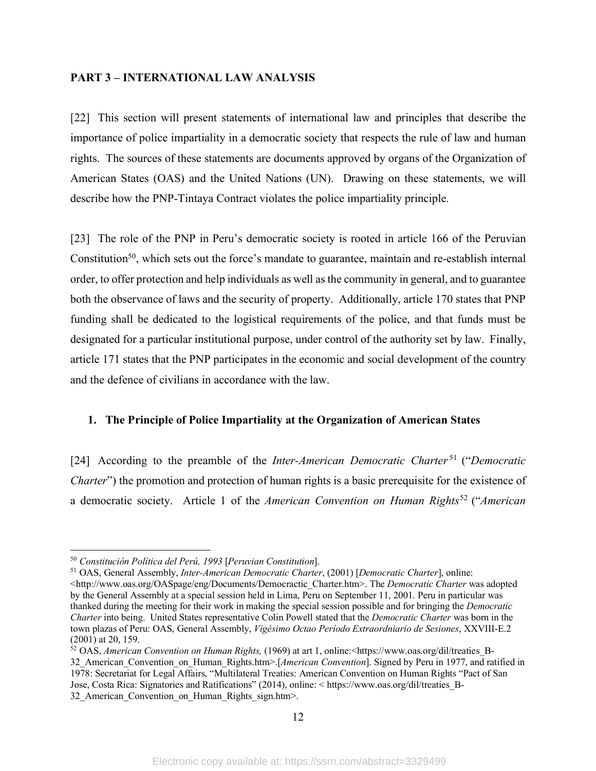### **PART 3 – INTERNATIONAL LAW ANALYSIS**

[22] This section will present statements of international law and principles that describe the importance of police impartiality in a democratic society that respects the rule of law and human rights. The sources of these statements are documents approved by organs of the Organization of American States (OAS) and the United Nations (UN). Drawing on these statements, we will describe how the PNP-Tintaya Contract violates the police impartiality principle.

[23] The role of the PNP in Peru's democratic society is rooted in article 166 of the Peruvian Constitution<sup>50</sup>, which sets out the force's mandate to guarantee, maintain and re-establish internal order, to offer protection and help individuals as well as the community in general, and to guarantee both the observance of laws and the security of property. Additionally, article 170 states that PNP funding shall be dedicated to the logistical requirements of the police, and that funds must be designated for a particular institutional purpose, under control of the authority set by law. Finally, article 171 states that the PNP participates in the economic and social development of the country and the defence of civilians in accordance with the law.

### **1. The Principle of Police Impartiality at the Organization of American States**

[24] According to the preamble of the *Inter-American Democratic Charter* <sup>51</sup> ("*Democratic Charter*") the promotion and protection of human rights is a basic prerequisite for the existence of a democratic society. Article 1 of the *American Convention on Human Rights*<sup>52</sup> ("*American* 

12

 <sup>50</sup> *Constitución Política del Perú, 1993* [*Peruvian Constitution*].

<sup>51</sup> OAS, General Assembly, *Inter-American Democratic Charter*, (2001) [*Democratic Charter*], online: <http://www.oas.org/OASpage/eng/Documents/Democractic\_Charter.htm>. The *Democratic Charter* was adopted by the General Assembly at a special session held in Lima, Peru on September 11, 2001. Peru in particular was thanked during the meeting for their work in making the special session possible and for bringing the *Democratic Charter* into being. United States representative Colin Powell stated that the *Democratic Charter* was born in the town plazas of Peru: OAS, General Assembly, *Vigésimo Octao Período Extraordniario de Sesiones*, XXVIII-E.2 (2001) at 20, 159.

<sup>52</sup> OAS, *American Convention on Human Rights,* (1969) at art 1, online:<https://www.oas.org/dil/treaties\_B-32\_American\_Convention\_on\_Human\_Rights.htm>.[*American Convention*]. Signed by Peru in 1977, and ratified in 1978: Secretariat for Legal Affairs, "Multilateral Treaties: American Convention on Human Rights "Pact of San Jose, Costa Rica: Signatories and Ratifications" (2014), online: < https://www.oas.org/dil/treaties\_B-32 American Convention on Human Rights sign.htm>.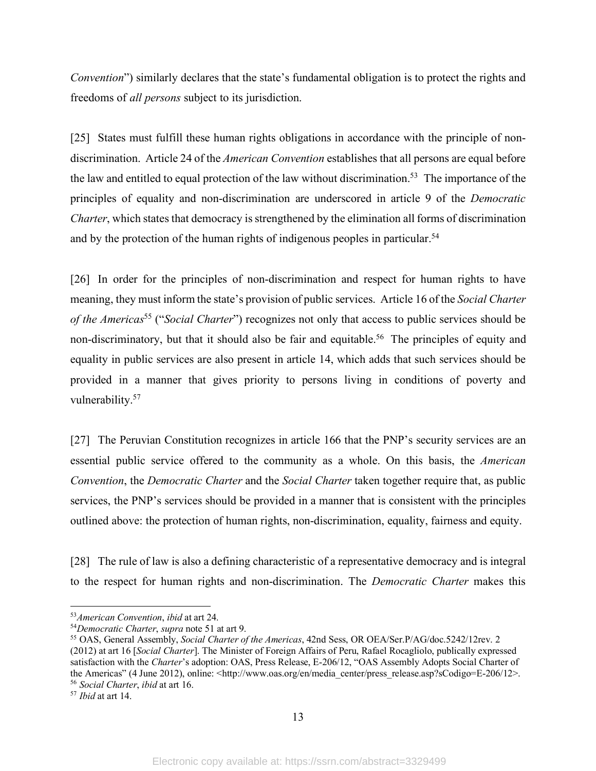*Convention*") similarly declares that the state's fundamental obligation is to protect the rights and freedoms of *all persons* subject to its jurisdiction.

[25] States must fulfill these human rights obligations in accordance with the principle of nondiscrimination. Article 24 of the *American Convention* establishes that all persons are equal before the law and entitled to equal protection of the law without discrimination.<sup>53</sup> The importance of the principles of equality and non-discrimination are underscored in article 9 of the *Democratic Charter*, which states that democracy is strengthened by the elimination all forms of discrimination and by the protection of the human rights of indigenous peoples in particular.<sup>54</sup>

[26] In order for the principles of non-discrimination and respect for human rights to have meaning, they must inform the state's provision of public services. Article 16 of the *Social Charter of the Americas*<sup>55</sup> ("*Social Charter*") recognizes not only that access to public services should be non-discriminatory, but that it should also be fair and equitable.<sup>56</sup> The principles of equity and equality in public services are also present in article 14, which adds that such services should be provided in a manner that gives priority to persons living in conditions of poverty and vulnerability.57

[27] The Peruvian Constitution recognizes in article 166 that the PNP's security services are an essential public service offered to the community as a whole. On this basis, the *American Convention*, the *Democratic Charter* and the *Social Charter* taken together require that, as public services, the PNP's services should be provided in a manner that is consistent with the principles outlined above: the protection of human rights, non-discrimination, equality, fairness and equity.

[28] The rule of law is also a defining characteristic of a representative democracy and is integral to the respect for human rights and non-discrimination. The *Democratic Charter* makes this

 <sup>53</sup>*American Convention*, *ibid* at art 24.

<sup>54</sup>*Democratic Charter*, *supra* note 51 at art 9.

<sup>55</sup> OAS, General Assembly, *Social Charter of the Americas*, 42nd Sess, OR OEA/Ser.P/AG/doc.5242/12rev. 2 (2012) at art 16 [*Social Charter*]. The Minister of Foreign Affairs of Peru, Rafael Rocagliolo, publically expressed satisfaction with the *Charter*'s adoption: OAS, Press Release, E-206/12, "OAS Assembly Adopts Social Charter of the Americas" (4 June 2012), online: <http://www.oas.org/en/media\_center/press\_release.asp?sCodigo=E-206/12>. <sup>56</sup> *Social Charter*, *ibid* at art 16.

<sup>57</sup> *Ibid* at art 14.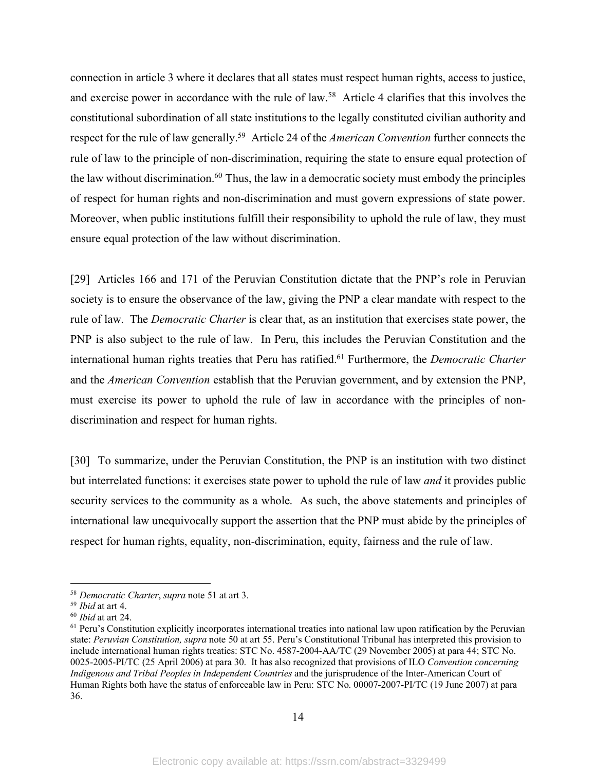connection in article 3 where it declares that all states must respect human rights, access to justice, and exercise power in accordance with the rule of law.58 Article 4 clarifies that this involves the constitutional subordination of all state institutions to the legally constituted civilian authority and respect for the rule of law generally.59 Article 24 of the *American Convention* further connects the rule of law to the principle of non-discrimination, requiring the state to ensure equal protection of the law without discrimination.<sup>60</sup> Thus, the law in a democratic society must embody the principles of respect for human rights and non-discrimination and must govern expressions of state power. Moreover, when public institutions fulfill their responsibility to uphold the rule of law, they must ensure equal protection of the law without discrimination.

[29] Articles 166 and 171 of the Peruvian Constitution dictate that the PNP's role in Peruvian society is to ensure the observance of the law, giving the PNP a clear mandate with respect to the rule of law. The *Democratic Charter* is clear that, as an institution that exercises state power, the PNP is also subject to the rule of law. In Peru, this includes the Peruvian Constitution and the international human rights treaties that Peru has ratified. <sup>61</sup> Furthermore, the *Democratic Charter* and the *American Convention* establish that the Peruvian government, and by extension the PNP, must exercise its power to uphold the rule of law in accordance with the principles of nondiscrimination and respect for human rights.

[30] To summarize, under the Peruvian Constitution, the PNP is an institution with two distinct but interrelated functions: it exercises state power to uphold the rule of law *and* it provides public security services to the community as a whole. As such, the above statements and principles of international law unequivocally support the assertion that the PNP must abide by the principles of respect for human rights, equality, non-discrimination, equity, fairness and the rule of law.

 <sup>58</sup> *Democratic Charter*, *supra* note 51 at art 3.

<sup>59</sup> *Ibid* at art 4.

<sup>60</sup> *Ibid* at art 24.

<sup>&</sup>lt;sup>61</sup> Peru's Constitution explicitly incorporates international treaties into national law upon ratification by the Peruvian state: *Peruvian Constitution, supra* note 50 at art 55. Peru's Constitutional Tribunal has interpreted this provision to include international human rights treaties: STC No. 4587-2004-AA/TC (29 November 2005) at para 44; STC No. 0025-2005-PI/TC (25 April 2006) at para 30. It has also recognized that provisions of ILO *Convention concerning Indigenous and Tribal Peoples in Independent Countries* and the jurisprudence of the Inter-American Court of Human Rights both have the status of enforceable law in Peru: STC No. 00007-2007-PI/TC (19 June 2007) at para 36.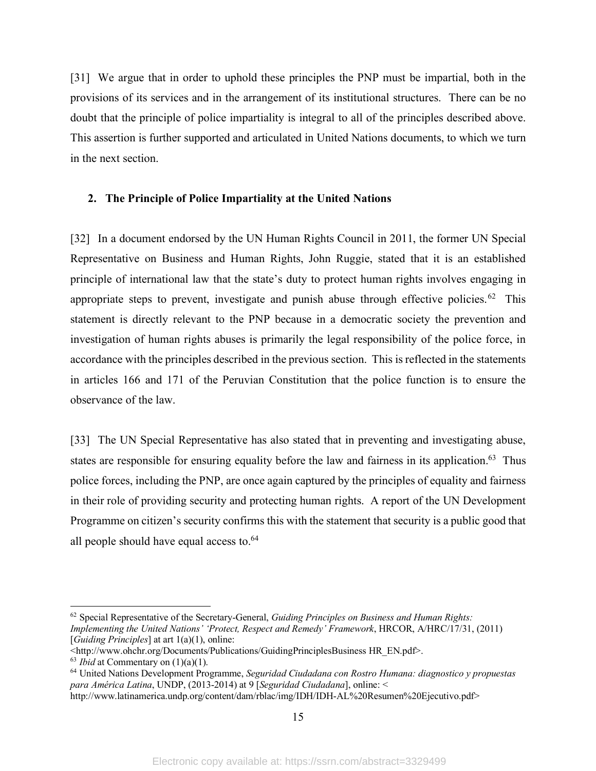[31] We argue that in order to uphold these principles the PNP must be impartial, both in the provisions of its services and in the arrangement of its institutional structures. There can be no doubt that the principle of police impartiality is integral to all of the principles described above. This assertion is further supported and articulated in United Nations documents, to which we turn in the next section.

## **2. The Principle of Police Impartiality at the United Nations**

[32] In a document endorsed by the UN Human Rights Council in 2011, the former UN Special Representative on Business and Human Rights, John Ruggie, stated that it is an established principle of international law that the state's duty to protect human rights involves engaging in appropriate steps to prevent, investigate and punish abuse through effective policies.<sup>62</sup> This statement is directly relevant to the PNP because in a democratic society the prevention and investigation of human rights abuses is primarily the legal responsibility of the police force, in accordance with the principles described in the previous section. This is reflected in the statements in articles 166 and 171 of the Peruvian Constitution that the police function is to ensure the observance of the law.

[33] The UN Special Representative has also stated that in preventing and investigating abuse, states are responsible for ensuring equality before the law and fairness in its application.<sup>63</sup> Thus police forces, including the PNP, are once again captured by the principles of equality and fairness in their role of providing security and protecting human rights. A report of the UN Development Programme on citizen's security confirms this with the statement that security is a public good that all people should have equal access to. $64$ 

 <sup>62</sup> Special Representative of the Secretary-General, *Guiding Principles on Business and Human Rights: Implementing the United Nations' 'Protect, Respect and Remedy' Framework*, HRCOR, A/HRC/17/31, (2011) [*Guiding Principles*] at art 1(a)(1), online:

<sup>&</sup>lt;http://www.ohchr.org/Documents/Publications/GuidingPrinciplesBusiness HR\_EN.pdf>.

<sup>63</sup> *Ibid* at Commentary on (1)(a)(1).

<sup>64</sup> United Nations Development Programme, *Seguridad Ciudadana con Rostro Humana: diagnostico y propuestas para América Latina*, UNDP, (2013-2014) at 9 [*Seguridad Ciudadana*], online: <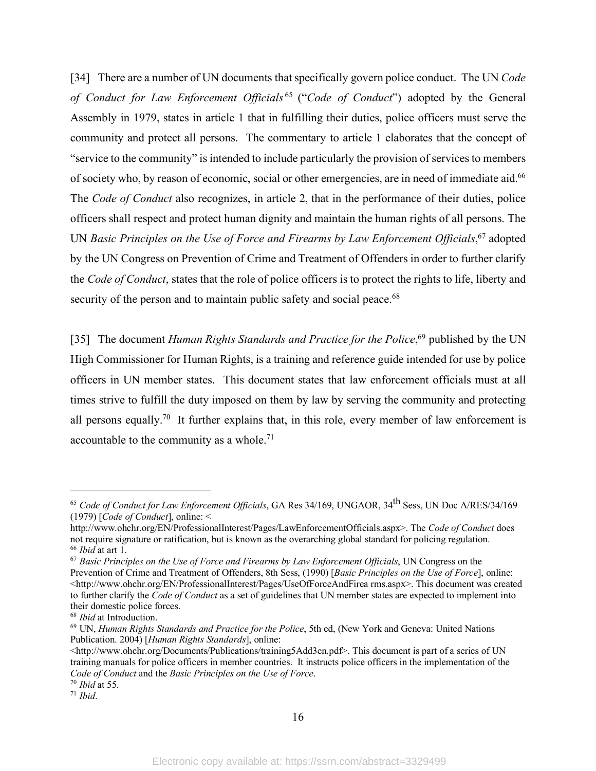[34] There are a number of UN documents that specifically govern police conduct. The UN *Code of Conduct for Law Enforcement Officials* <sup>65</sup> ("*Code of Conduct*") adopted by the General Assembly in 1979, states in article 1 that in fulfilling their duties, police officers must serve the community and protect all persons. The commentary to article 1 elaborates that the concept of "service to the community" is intended to include particularly the provision of services to members of society who, by reason of economic, social or other emergencies, are in need of immediate aid.66 The *Code of Conduct* also recognizes, in article 2, that in the performance of their duties, police officers shall respect and protect human dignity and maintain the human rights of all persons. The UN *Basic Principles on the Use of Force and Firearms by Law Enforcement Officials*,<sup>67</sup> adopted by the UN Congress on Prevention of Crime and Treatment of Offenders in order to further clarify the *Code of Conduct*, states that the role of police officers is to protect the rights to life, liberty and security of the person and to maintain public safety and social peace.<sup>68</sup>

[35] The document *Human Rights Standards and Practice for the Police*,<sup>69</sup> published by the UN High Commissioner for Human Rights, is a training and reference guide intended for use by police officers in UN member states. This document states that law enforcement officials must at all times strive to fulfill the duty imposed on them by law by serving the community and protecting all persons equally.<sup>70</sup> It further explains that, in this role, every member of law enforcement is accountable to the community as a whole.<sup>71</sup>

 $\overline{a}$ 

<sup>65</sup> *Code of Conduct for Law Enforcement Officials*, GA Res 34/169, UNGAOR, 34th Sess, UN Doc A/RES/34/169 (1979) [*Code of Conduct*], online: <

http://www.ohchr.org/EN/ProfessionalInterest/Pages/LawEnforcementOfficials.aspx>. The *Code of Conduct* does not require signature or ratification, but is known as the overarching global standard for policing regulation. <sup>66</sup> *Ibid* at art 1.

<sup>67</sup> *Basic Principles on the Use of Force and Firearms by Law Enforcement Officials*, UN Congress on the Prevention of Crime and Treatment of Offenders, 8th Sess, (1990) [*Basic Principles on the Use of Force*], online: <http://www.ohchr.org/EN/ProfessionalInterest/Pages/UseOfForceAndFirea rms.aspx>. This document was created to further clarify the *Code of Conduct* as a set of guidelines that UN member states are expected to implement into their domestic police forces.

<sup>68</sup> *Ibid* at Introduction.

<sup>69</sup> UN, *Human Rights Standards and Practice for the Police*, 5th ed, (New York and Geneva: United Nations Publication. 2004) [*Human Rights Standards*], online:

<sup>&</sup>lt;http://www.ohchr.org/Documents/Publications/training5Add3en.pdf>. This document is part of a series of UN training manuals for police officers in member countries. It instructs police officers in the implementation of the *Code of Conduct* and the *Basic Principles on the Use of Force*.

<sup>70</sup> *Ibid* at 55.

<sup>71</sup> *Ibid*.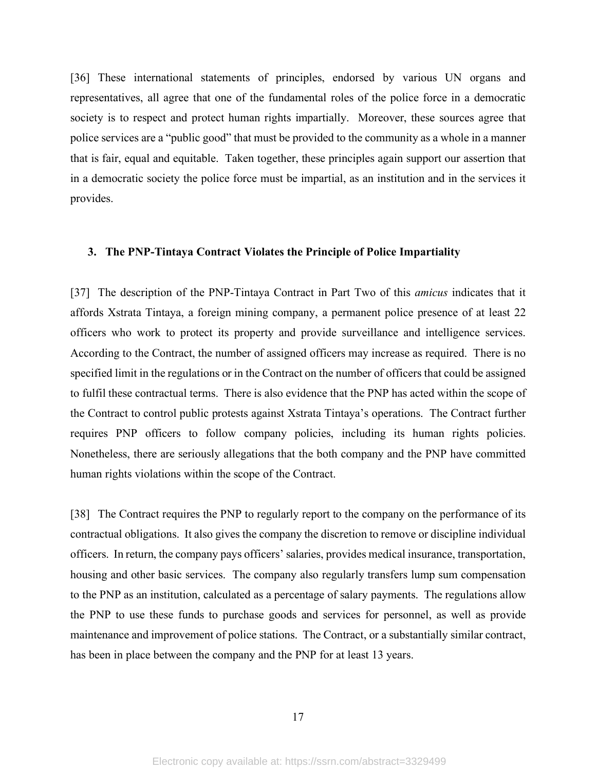[36] These international statements of principles, endorsed by various UN organs and representatives, all agree that one of the fundamental roles of the police force in a democratic society is to respect and protect human rights impartially. Moreover, these sources agree that police services are a "public good" that must be provided to the community as a whole in a manner that is fair, equal and equitable. Taken together, these principles again support our assertion that in a democratic society the police force must be impartial, as an institution and in the services it provides.

### **3. The PNP-Tintaya Contract Violates the Principle of Police Impartiality**

[37] The description of the PNP-Tintaya Contract in Part Two of this *amicus* indicates that it affords Xstrata Tintaya, a foreign mining company, a permanent police presence of at least 22 officers who work to protect its property and provide surveillance and intelligence services. According to the Contract, the number of assigned officers may increase as required. There is no specified limit in the regulations or in the Contract on the number of officers that could be assigned to fulfil these contractual terms. There is also evidence that the PNP has acted within the scope of the Contract to control public protests against Xstrata Tintaya's operations. The Contract further requires PNP officers to follow company policies, including its human rights policies. Nonetheless, there are seriously allegations that the both company and the PNP have committed human rights violations within the scope of the Contract.

[38] The Contract requires the PNP to regularly report to the company on the performance of its contractual obligations. It also gives the company the discretion to remove or discipline individual officers. In return, the company pays officers' salaries, provides medical insurance, transportation, housing and other basic services. The company also regularly transfers lump sum compensation to the PNP as an institution, calculated as a percentage of salary payments. The regulations allow the PNP to use these funds to purchase goods and services for personnel, as well as provide maintenance and improvement of police stations. The Contract, or a substantially similar contract, has been in place between the company and the PNP for at least 13 years.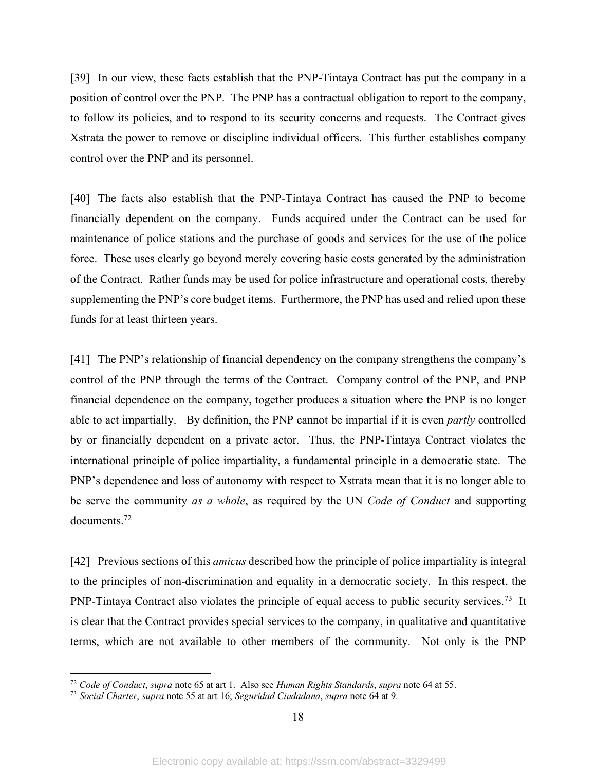[39] In our view, these facts establish that the PNP-Tintaya Contract has put the company in a position of control over the PNP. The PNP has a contractual obligation to report to the company, to follow its policies, and to respond to its security concerns and requests. The Contract gives Xstrata the power to remove or discipline individual officers. This further establishes company control over the PNP and its personnel.

[40] The facts also establish that the PNP-Tintaya Contract has caused the PNP to become financially dependent on the company. Funds acquired under the Contract can be used for maintenance of police stations and the purchase of goods and services for the use of the police force. These uses clearly go beyond merely covering basic costs generated by the administration of the Contract. Rather funds may be used for police infrastructure and operational costs, thereby supplementing the PNP's core budget items. Furthermore, the PNP has used and relied upon these funds for at least thirteen years.

[41] The PNP's relationship of financial dependency on the company strengthens the company's control of the PNP through the terms of the Contract. Company control of the PNP, and PNP financial dependence on the company, together produces a situation where the PNP is no longer able to act impartially. By definition, the PNP cannot be impartial if it is even *partly* controlled by or financially dependent on a private actor. Thus, the PNP-Tintaya Contract violates the international principle of police impartiality, a fundamental principle in a democratic state. The PNP's dependence and loss of autonomy with respect to Xstrata mean that it is no longer able to be serve the community *as a whole*, as required by the UN *Code of Conduct* and supporting documents.72

[42] Previous sections of this *amicus* described how the principle of police impartiality is integral to the principles of non-discrimination and equality in a democratic society. In this respect, the PNP-Tintaya Contract also violates the principle of equal access to public security services.<sup>73</sup> It is clear that the Contract provides special services to the company, in qualitative and quantitative terms, which are not available to other members of the community. Not only is the PNP

 <sup>72</sup> *Code of Conduct*, *supra* note <sup>65</sup> at art 1. Also see *Human Rights Standards*, *supra* note 64 at 55.

<sup>73</sup> *Social Charter*, *supra* note 55 at art 16; *Seguridad Ciudadana*, *supra* note 64 at 9.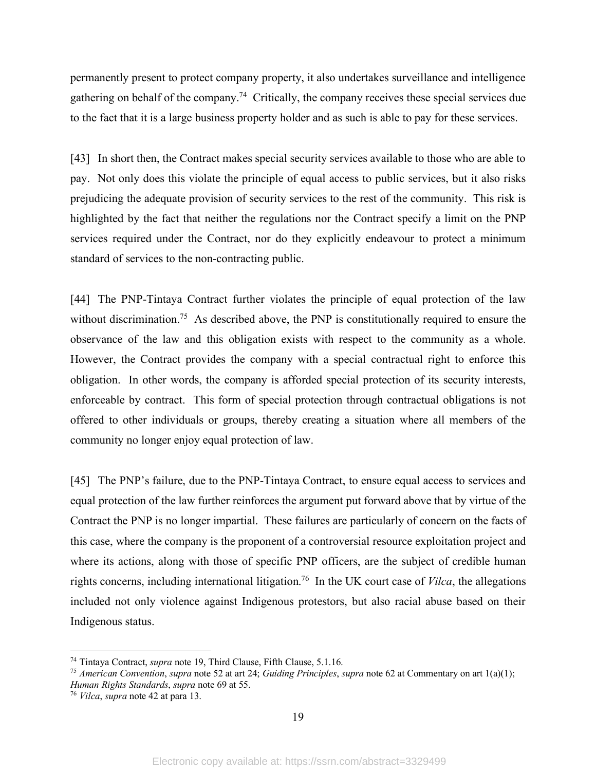permanently present to protect company property, it also undertakes surveillance and intelligence gathering on behalf of the company.74 Critically, the company receives these special services due to the fact that it is a large business property holder and as such is able to pay for these services.

[43] In short then, the Contract makes special security services available to those who are able to pay. Not only does this violate the principle of equal access to public services, but it also risks prejudicing the adequate provision of security services to the rest of the community. This risk is highlighted by the fact that neither the regulations nor the Contract specify a limit on the PNP services required under the Contract, nor do they explicitly endeavour to protect a minimum standard of services to the non-contracting public.

[44] The PNP-Tintaya Contract further violates the principle of equal protection of the law without discrimination.<sup>75</sup> As described above, the PNP is constitutionally required to ensure the observance of the law and this obligation exists with respect to the community as a whole. However, the Contract provides the company with a special contractual right to enforce this obligation. In other words, the company is afforded special protection of its security interests, enforceable by contract. This form of special protection through contractual obligations is not offered to other individuals or groups, thereby creating a situation where all members of the community no longer enjoy equal protection of law.

[45] The PNP's failure, due to the PNP-Tintaya Contract, to ensure equal access to services and equal protection of the law further reinforces the argument put forward above that by virtue of the Contract the PNP is no longer impartial. These failures are particularly of concern on the facts of this case, where the company is the proponent of a controversial resource exploitation project and where its actions, along with those of specific PNP officers, are the subject of credible human rights concerns, including international litigation.76 In the UK court case of *Vilca*, the allegations included not only violence against Indigenous protestors, but also racial abuse based on their Indigenous status.

 <sup>74</sup> Tintaya Contract, *supra* note 19, Third Clause, Fifth Clause, 5.1.16.

<sup>75</sup> *American Convention*, *supra* note 52 at art 24; *Guiding Principles*, *supra* note 62 at Commentary on art 1(a)(1); *Human Rights Standards*, *supra* note 69 at 55. 76 *Vilca*, *supra* note 42 at para 13.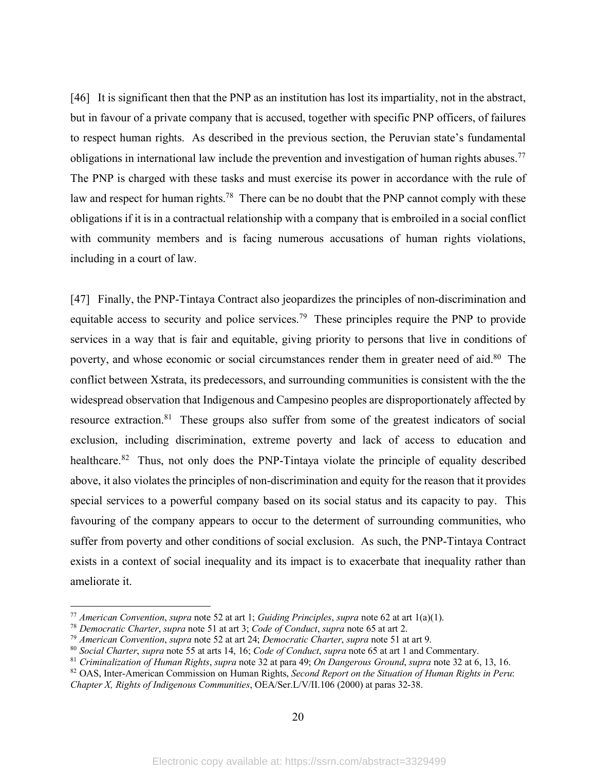[46] It is significant then that the PNP as an institution has lost its impartiality, not in the abstract, but in favour of a private company that is accused, together with specific PNP officers, of failures to respect human rights. As described in the previous section, the Peruvian state's fundamental obligations in international law include the prevention and investigation of human rights abuses.<sup>77</sup> The PNP is charged with these tasks and must exercise its power in accordance with the rule of law and respect for human rights.<sup>78</sup> There can be no doubt that the PNP cannot comply with these obligations if it is in a contractual relationship with a company that is embroiled in a social conflict with community members and is facing numerous accusations of human rights violations, including in a court of law.

[47] Finally, the PNP-Tintaya Contract also jeopardizes the principles of non-discrimination and equitable access to security and police services.<sup>79</sup> These principles require the PNP to provide services in a way that is fair and equitable, giving priority to persons that live in conditions of poverty, and whose economic or social circumstances render them in greater need of aid.<sup>80</sup> The conflict between Xstrata, its predecessors, and surrounding communities is consistent with the the widespread observation that Indigenous and Campesino peoples are disproportionately affected by resource extraction.81 These groups also suffer from some of the greatest indicators of social exclusion, including discrimination, extreme poverty and lack of access to education and healthcare.<sup>82</sup> Thus, not only does the PNP-Tintaya violate the principle of equality described above, it also violates the principles of non-discrimination and equity for the reason that it provides special services to a powerful company based on its social status and its capacity to pay. This favouring of the company appears to occur to the determent of surrounding communities, who suffer from poverty and other conditions of social exclusion. As such, the PNP-Tintaya Contract exists in a context of social inequality and its impact is to exacerbate that inequality rather than ameliorate it.

 <sup>77</sup> *American Convention*, *supra* note 52 at art 1; *Guiding Principles*, *supra* note 62 at art 1(a)(1).

<sup>&</sup>lt;sup>79</sup> American Convention, supra note 52 at art 24; Democratic Charter, supra note 51 at art 9.<br><sup>80</sup> Social Charter, supra note 55 at arts 14, 16; Code of Conduct, supra note 65 at art 1 and Commentary.

<sup>81</sup> *Criminalization of Human Rights*, *supra* note 32 at para 49; *On Dangerous Ground*, *supra* note 32 at 6, 13, 16.

<sup>82</sup> OAS, Inter-American Commission on Human Rights, *Second Report on the Situation of Human Rights in Peru*: *Chapter X, Rights of Indigenous Communities*, OEA/Ser.L/V/II.106 (2000) at paras 32-38.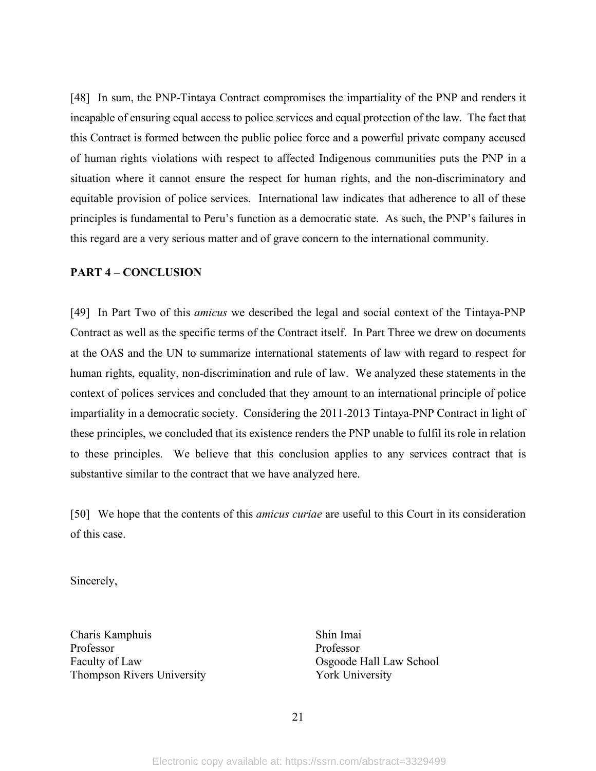[48] In sum, the PNP-Tintaya Contract compromises the impartiality of the PNP and renders it incapable of ensuring equal access to police services and equal protection of the law. The fact that this Contract is formed between the public police force and a powerful private company accused of human rights violations with respect to affected Indigenous communities puts the PNP in a situation where it cannot ensure the respect for human rights, and the non-discriminatory and equitable provision of police services. International law indicates that adherence to all of these principles is fundamental to Peru's function as a democratic state. As such, the PNP's failures in this regard are a very serious matter and of grave concern to the international community.

#### **PART 4 – CONCLUSION**

[49] In Part Two of this *amicus* we described the legal and social context of the Tintaya-PNP Contract as well as the specific terms of the Contract itself. In Part Three we drew on documents at the OAS and the UN to summarize international statements of law with regard to respect for human rights, equality, non-discrimination and rule of law. We analyzed these statements in the context of polices services and concluded that they amount to an international principle of police impartiality in a democratic society. Considering the 2011-2013 Tintaya-PNP Contract in light of these principles, we concluded that its existence renders the PNP unable to fulfil its role in relation to these principles. We believe that this conclusion applies to any services contract that is substantive similar to the contract that we have analyzed here.

[50] We hope that the contents of this *amicus curiae* are useful to this Court in its consideration of this case.

Sincerely,

Charis Kamphuis Shin Imai Professor Professor Faculty of Law School **Cause Contract Contract Contract Contract Contract Contract Contract Contract Contract Contract Contract Contract Contract Contract Contract Contract Contract Contract Contract Contract Contract Cont** Thompson Rivers University York University

21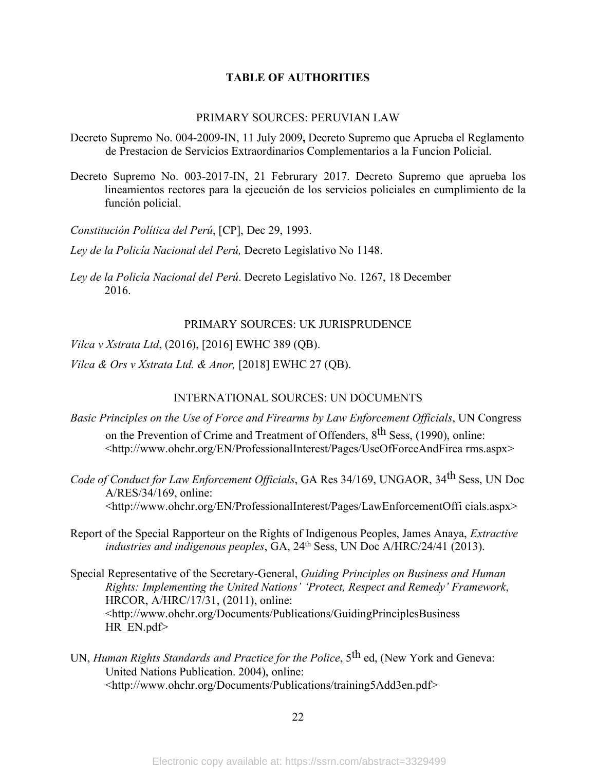### **TABLE OF AUTHORITIES**

### PRIMARY SOURCES: PERUVIAN LAW

- Decreto Supremo No. 004-2009-IN, 11 July 2009**,** Decreto Supremo que Aprueba el Reglamento de Prestacion de Servicios Extraordinarios Complementarios a la Funcion Policial.
- Decreto Supremo No. 003-2017-IN, 21 Februrary 2017. Decreto Supremo que aprueba los lineamientos rectores para la ejecución de los servicios policiales en cumplimiento de la función policial.

*Constitución Política del Perú*, [CP], Dec 29, 1993.

*Ley de la Policía Nacional del Perú,* Decreto Legislativo No 1148.

*Ley de la Policía Nacional del Perú*. Decreto Legislativo No. 1267, 18 December 2016.

#### PRIMARY SOURCES: UK JURISPRUDENCE

*Vilca v Xstrata Ltd*, (2016), [2016] EWHC 389 (QB).

*Vilca & Ors v Xstrata Ltd. & Anor,* [2018] EWHC 27 (QB).

### INTERNATIONAL SOURCES: UN DOCUMENTS

*Basic Principles on the Use of Force and Firearms by Law Enforcement Officials*, UN Congress on the Prevention of Crime and Treatment of Offenders, 8<sup>th</sup> Sess, (1990), online:

<http://www.ohchr.org/EN/ProfessionalInterest/Pages/UseOfForceAndFirea rms.aspx>

*Code of Conduct for Law Enforcement Officials*, GA Res 34/169, UNGAOR, 34th Sess, UN Doc A/RES/34/169, online: <http://www.ohchr.org/EN/ProfessionalInterest/Pages/LawEnforcementOffi cials.aspx>

Report of the Special Rapporteur on the Rights of Indigenous Peoples, James Anaya, *Extractive industries and indigenous peoples, GA, 24<sup>th</sup> Sess, UN Doc A/HRC/24/41 (2013).* 

- Special Representative of the Secretary-General, *Guiding Principles on Business and Human Rights: Implementing the United Nations' 'Protect, Respect and Remedy' Framework*, HRCOR, A/HRC/17/31, (2011), online: <http://www.ohchr.org/Documents/Publications/GuidingPrinciplesBusiness HR\_EN.pdf>
- UN, *Human Rights Standards and Practice for the Police*, 5th ed, (New York and Geneva: United Nations Publication. 2004), online: <http://www.ohchr.org/Documents/Publications/training5Add3en.pdf>

22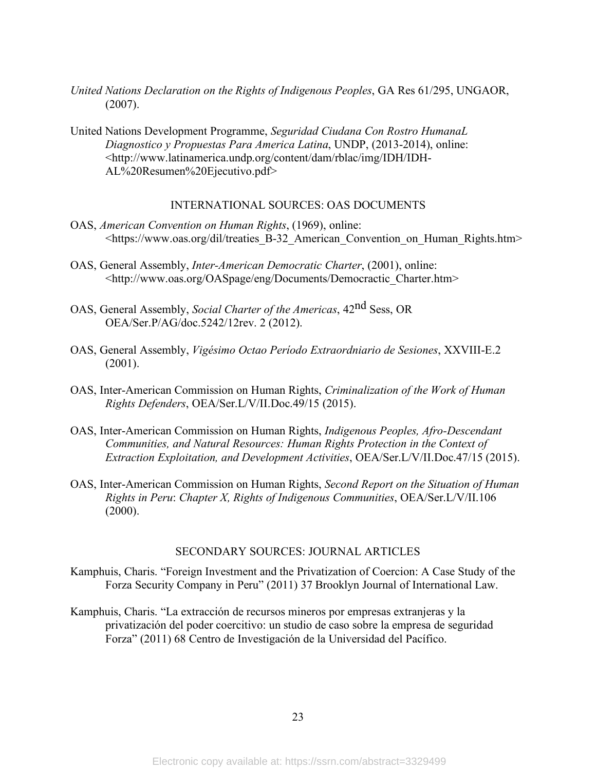- *United Nations Declaration on the Rights of Indigenous Peoples*, GA Res 61/295, UNGAOR, (2007).
- United Nations Development Programme, *Seguridad Ciudana Con Rostro HumanaL Diagnostico y Propuestas Para America Latina*, UNDP, (2013-2014), online: <http://www.latinamerica.undp.org/content/dam/rblac/img/IDH/IDH-AL%20Resumen%20Ejecutivo.pdf>

#### INTERNATIONAL SOURCES: OAS DOCUMENTS

- OAS, *American Convention on Human Rights*, (1969), online: <https://www.oas.org/dil/treaties\_B-32\_American\_Convention\_on\_Human\_Rights.htm>
- OAS, General Assembly, *Inter-American Democratic Charter*, (2001), online: <http://www.oas.org/OASpage/eng/Documents/Democractic\_Charter.htm>
- OAS, General Assembly, *Social Charter of the Americas*, 42nd Sess, OR OEA/Ser.P/AG/doc.5242/12rev. 2 (2012).
- OAS, General Assembly, *Vigésimo Octao Período Extraordniario de Sesiones*, XXVIII-E.2 (2001).
- OAS, Inter-American Commission on Human Rights, *Criminalization of the Work of Human Rights Defenders*, OEA/Ser.L/V/II.Doc.49/15 (2015).
- OAS, Inter-American Commission on Human Rights, *Indigenous Peoples, Afro-Descendant Communities, and Natural Resources: Human Rights Protection in the Context of Extraction Exploitation, and Development Activities*, OEA/Ser.L/V/II.Doc.47/15 (2015).
- OAS, Inter-American Commission on Human Rights, *Second Report on the Situation of Human Rights in Peru*: *Chapter X, Rights of Indigenous Communities*, OEA/Ser.L/V/II.106  $(2000)$ .

### SECONDARY SOURCES: JOURNAL ARTICLES

- Kamphuis, Charis. "Foreign Investment and the Privatization of Coercion: A Case Study of the Forza Security Company in Peru" (2011) 37 Brooklyn Journal of International Law.
- Kamphuis, Charis. "La extracción de recursos mineros por empresas extranjeras y la privatización del poder coercitivo: un studio de caso sobre la empresa de seguridad Forza" (2011) 68 Centro de Investigación de la Universidad del Pacífico.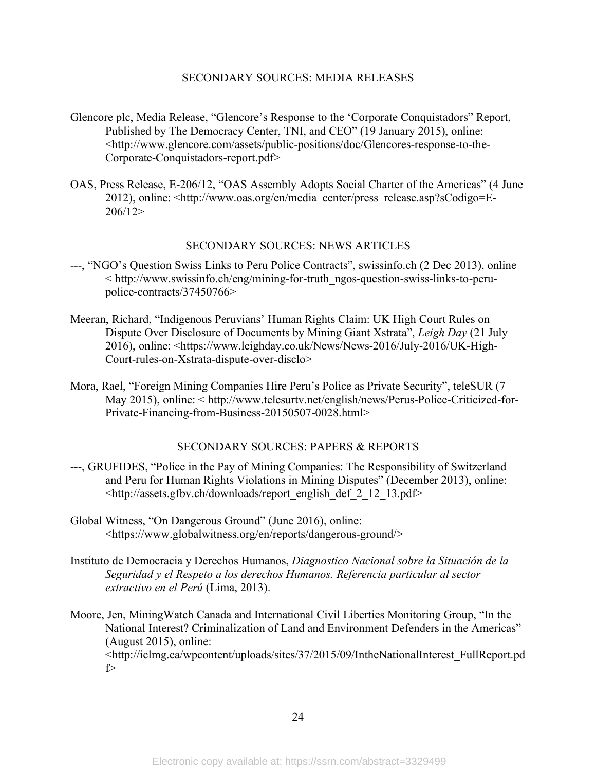#### SECONDARY SOURCES: MEDIA RELEASES

- Glencore plc, Media Release, "Glencore's Response to the 'Corporate Conquistadors" Report, Published by The Democracy Center, TNI, and CEO" (19 January 2015), online: <http://www.glencore.com/assets/public-positions/doc/Glencores-response-to-the-Corporate-Conquistadors-report.pdf>
- OAS, Press Release, E-206/12, "OAS Assembly Adopts Social Charter of the Americas" (4 June 2012), online: <http://www.oas.org/en/media\_center/press\_release.asp?sCodigo=E-206/12>

#### SECONDARY SOURCES: NEWS ARTICLES

- ---, "NGO's Question Swiss Links to Peru Police Contracts", swissinfo.ch (2 Dec 2013), online < http://www.swissinfo.ch/eng/mining-for-truth\_ngos-question-swiss-links-to-perupolice-contracts/37450766>
- Meeran, Richard, "Indigenous Peruvians' Human Rights Claim: UK High Court Rules on Dispute Over Disclosure of Documents by Mining Giant Xstrata", *Leigh Day* (21 July 2016), online: <https://www.leighday.co.uk/News/News-2016/July-2016/UK-High-Court-rules-on-Xstrata-dispute-over-disclo>
- Mora, Rael, "Foreign Mining Companies Hire Peru's Police as Private Security", teleSUR (7 May 2015), online: < http://www.telesurtv.net/english/news/Perus-Police-Criticized-for-Private-Financing-from-Business-20150507-0028.html>

# SECONDARY SOURCES: PAPERS & REPORTS

- ---, GRUFIDES, "Police in the Pay of Mining Companies: The Responsibility of Switzerland and Peru for Human Rights Violations in Mining Disputes" (December 2013), online: <http://assets.gfbv.ch/downloads/report\_english\_def\_2\_12\_13.pdf>
- Global Witness, "On Dangerous Ground" (June 2016), online: <https://www.globalwitness.org/en/reports/dangerous-ground/>
- Instituto de Democracia y Derechos Humanos, *Diagnostico Nacional sobre la Situación de la Seguridad y el Respeto a los derechos Humanos. Referencia particular al sector extractivo en el Perú* (Lima, 2013).
- Moore, Jen, MiningWatch Canada and International Civil Liberties Monitoring Group, "In the National Interest? Criminalization of Land and Environment Defenders in the Americas" (August 2015), online:

<http://iclmg.ca/wpcontent/uploads/sites/37/2015/09/IntheNationalInterest\_FullReport.pd f>